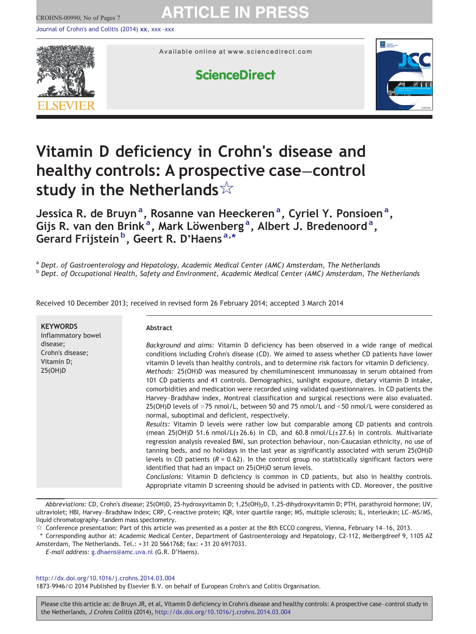CROHNS-00990; No of Pages 7

# **ARTICLE IN PRESS**

[Journal of Crohn's and Colitis \(2014\)](http://dx.doi.org/) xx, xxx–xxx



Available online at www.sciencedirect.com

# **ScienceDirect**



# Vitamin D deficiency in Crohn's disease and healthy controls: A prospective case–control study in the Netherlands☆

Jessica R. de Bruyn<sup>a</sup>, Rosanne van Heeckeren<sup>a</sup>, Cyriel Y. Ponsioen<sup>a</sup>, Gijs R. van den Brink<sup>a</sup>, Mark Löwenberg<sup>a</sup>, Albert J. Bredenoord<sup>a</sup>, Gerard Frijstein<sup>b</sup>, Geert R. D'Haens<sup>a,\*</sup>

a Dept. of Gastroenterology and Hepatology, Academic Medical Center (AMC) Amsterdam, The Netherlands b Dept. of Occupational Health, Safety and Environment, Academic Medical Center (AMC) Amsterdam, The Netherlands

| <b>KEYWORDS</b><br>Inflammatory bowel<br>disease;<br>Crohn's disease;<br>Vitamin D;<br>25(OH)D | <b>Abstract</b>                                                                                                                                                                                                                                                                                                                                                                                                                                                                                                                                                                                                                                                                                                                                                                                                                                                                                                                                                                                                                                                                                                                                                                                                                                                                                                                                                                                                                                                                                                                                                                                             |
|------------------------------------------------------------------------------------------------|-------------------------------------------------------------------------------------------------------------------------------------------------------------------------------------------------------------------------------------------------------------------------------------------------------------------------------------------------------------------------------------------------------------------------------------------------------------------------------------------------------------------------------------------------------------------------------------------------------------------------------------------------------------------------------------------------------------------------------------------------------------------------------------------------------------------------------------------------------------------------------------------------------------------------------------------------------------------------------------------------------------------------------------------------------------------------------------------------------------------------------------------------------------------------------------------------------------------------------------------------------------------------------------------------------------------------------------------------------------------------------------------------------------------------------------------------------------------------------------------------------------------------------------------------------------------------------------------------------------|
|                                                                                                | Background and aims: Vitamin D deficiency has been observed in a wide range of medical<br>conditions including Crohn's disease (CD). We aimed to assess whether CD patients have lower<br>vitamin D levels than healthy controls, and to determine risk factors for vitamin D deficiency.<br>Methods: 25(OH)D was measured by chemiluminescent immunoassay in serum obtained from<br>101 CD patients and 41 controls. Demographics, sunlight exposure, dietary vitamin D intake,<br>comorbidities and medication were recorded using validated questionnaires. In CD patients the<br>Harvey-Bradshaw index, Montreal classification and surgical resections were also evaluated.<br>25(OH)D levels of $>$ 75 nmol/L, between 50 and 75 nmol/L and $<$ 50 nmol/L were considered as<br>normal, suboptimal and deficient, respectively.<br>Results: Vitamin D levels were rather low but comparable among CD patients and controls<br>(mean 25(OH)D 51.6 nmol/L( $\pm$ 26.6) in CD, and 60.8 nmol/L( $\pm$ 27.6) in controls. Multivariate<br>regression analysis revealed BMI, sun protection behaviour, non-Caucasian ethnicity, no use of<br>tanning beds, and no holidays in the last year as significantly associated with serum 25(OH)D<br>levels in CD patients ( $R = 0.62$ ). In the control group no statistically significant factors were<br>identified that had an impact on 25(OH)D serum levels.<br>Conclusions: Vitamin D deficiency is common in CD patients, but also in healthy controls.<br>Appropriate vitamin D screening should be advised in patients with CD. Moreover, the positive |

Received 10 December 2013; received in revised form 26 February 2014; accepted 3 March 2014

Abbreviations: CD, Crohn's disease; 25(OH)D, 25-hydroxyvitamin D; 1,25(OH)<sub>2</sub>D, 1.25-dihydroxyvitamin D; PTH, parathyroid hormone; UV, ultraviolet; HBI, Harvey–Bradshaw Index; CRP, C-reactive protein; IQR, inter quartile range; MS, multiple sclerosis; IL, interleukin; LC–MS/MS, liquid chromatography–tandem mass spectometry.

☆ Conference presentation: Part of this article was presented as a poster at the 8th ECCO congress, Vienna, February 14–16, 2013.

⁎ Corresponding author at: Academic Medical Center, Department of Gastroenterology and Hepatology, C2-112, Meibergdreef 9, 1105 AZ Amsterdam, The Netherlands. Tel.: + 31 20 5661768; fax: + 31 20 6917033.

E-mail address: [g.dhaens@amc.uva.nl](mailto:g.dhaens@amc.uva.nl) (G.R. D'Haens).

#### <http://dx.doi.org/10.1016/j.crohns.2014.03.004>

1873-9946/© 2014 Published by Elsevier B.V. on behalf of European Crohn's and Colitis Organisation.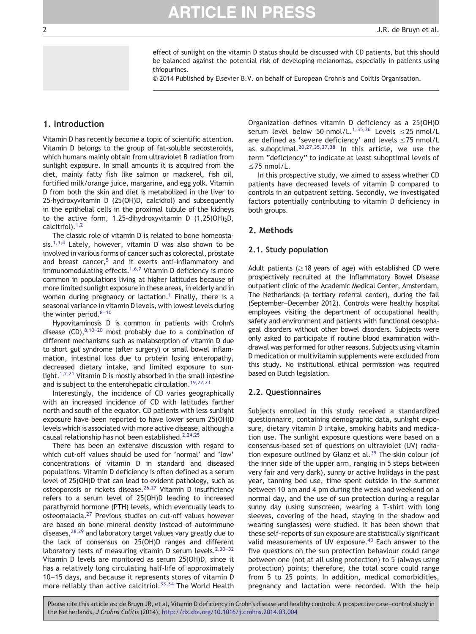effect of sunlight on the vitamin D status should be discussed with CD patients, but this should be balanced against the potential risk of developing melanomas, especially in patients using thiopurines.

© 2014 Published by Elsevier B.V. on behalf of European Crohn's and Colitis Organisation.

#### 1. Introduction

Vitamin D has recently become a topic of scientific attention. Vitamin D belongs to the group of fat-soluble secosteroids, which humans mainly obtain from ultraviolet B radiation from sunlight exposure. In small amounts it is acquired from the diet, mainly fatty fish like salmon or mackerel, fish oil, fortified milk/orange juice, margarine, and egg yolk. Vitamin D from both the skin and diet is metabolized in the liver to 25-hydroxyvitamin D (25(OH)D, calcidiol) and subsequently in the epithelial cells in the proximal tubule of the kidneys to the active form, 1.25-dihydroxyvitamin D  $(1,25(OH))$ <sub>2</sub>D, calcitriol).[1,2](#page-5-0)

The classic role of vitamin D is related to bone homeostasis.<sup>1,3,4</sup> Lately, however, vitamin D was also shown to be involved in various forms of cancer such as colorectal, prostate and breast cancer,<sup>[5](#page-5-0)</sup> and it exerts anti-inflammatory and immunomodulating effects.<sup>1,6,7</sup> Vitamin D deficiency is more common in populations living at higher latitudes because of more limited sunlight exposure in these areas, in elderly and in women during pregnancy or lactation.<sup>[1](#page-5-0)</sup> Finally, there is a seasonal variance in vitamin D levels, with lowest levels during the winter period.<sup>8-[10](#page-5-0)</sup>

Hypovitaminosis D is common in patients with Crohn's disease  $(CD)$ ,  $8,10-20$  $8,10-20$  most probably due to a combination of different mechanisms such as malabsorption of vitamin D due to short gut syndrome (after surgery) or small bowel inflammation, intestinal loss due to protein losing enteropathy, decreased dietary intake, and limited exposure to sun-light.<sup>[1,2,21](#page-5-0)</sup> Vitamin D is mostly absorbed in the small intestine and is subject to the enterohepatic circulation.<sup>19,22,23</sup>

Interestingly, the incidence of CD varies geographically with an increased incidence of CD with latitudes farther north and south of the equator. CD patients with less sunlight exposure have been reported to have lower serum 25(OH)D levels which is associated with more active disease, although a causal relationship has not been established.<sup>2,24,25</sup>

There has been an extensive discussion with regard to which cut-off values should be used for 'normal' and 'low' concentrations of vitamin D in standard and diseased populations. Vitamin D deficiency is often defined as a serum level of 25(OH)D that can lead to evident pathology, such as osteoporosis or rickets disease.<sup>[26,27](#page-5-0)</sup> Vitamin D insufficiency refers to a serum level of 25(OH)D leading to increased parathyroid hormone (PTH) levels, which eventually leads to osteomalacia[.27](#page-5-0) Previous studies on cut-off values however are based on bone mineral density instead of autoimmune diseases,<sup>[28,29](#page-5-0)</sup> and laboratory target values vary greatly due to the lack of consensus on 25(OH)D ranges and different laboratory tests of measuring vitamin D serum levels.<sup>2,30-32</sup> Vitamin D levels are monitored as serum 25(OH)D, since it has a relatively long circulating half-life of approximately 10–15 days, and because it represents stores of vitamin D more reliably than active calcitriol.<sup>[33,34](#page-5-0)</sup> The World Health

Organization defines vitamin D deficiency as a 25(OH)D serum level below 50 nmol/L.<sup>[1,35,36](#page-5-0)</sup> Levels  $\leq$ 25 nmol/L are defined as 'severe deficiency' and levels  $\leq$ 75 nmol/L as suboptimal.<sup>[20,27,35,37,38](#page-5-0)</sup> In this article, we use the term "deficiency" to indicate at least suboptimal levels of ≤75 nmol/L.

In this prospective study, we aimed to assess whether CD patients have decreased levels of vitamin D compared to controls in an outpatient setting. Secondly, we investigated factors potentially contributing to vitamin D deficiency in both groups.

#### 2. Methods

#### 2.1. Study population

Adult patients ( $\geq$  18 years of age) with established CD were prospectively recruited at the Inflammatory Bowel Disease outpatient clinic of the Academic Medical Center, Amsterdam, The Netherlands (a tertiary referral center), during the fall (September–December 2012). Controls were healthy hospital employees visiting the department of occupational health, safety and environment and patients with functional oesophageal disorders without other bowel disorders. Subjects were only asked to participate if routine blood examination withdrawal was performed for other reasons. Subjects using vitamin D medication or multivitamin supplements were excluded from this study. No institutional ethical permission was required based on Dutch legislation.

#### 2.2. Questionnaires

Subjects enrolled in this study received a standardized questionnaire, containing demographic data, sunlight exposure, dietary vitamin D intake, smoking habits and medication use. The sunlight exposure questions were based on a consensus-based set of questions on ultraviolet (UV) radia-tion exposure outlined by Glanz et al.<sup>[39](#page-6-0)</sup> The skin colour (of the inner side of the upper arm, ranging in 5 steps between very fair and very dark), sunny or active holidays in the past year, tanning bed use, time spent outside in the summer between 10 am and 4 pm during the week and weekend on a normal day, and the use of sun protection during a regular sunny day (using sunscreen, wearing a T-shirt with long sleeves, covering of the head, staying in the shadow and wearing sunglasses) were studied. It has been shown that these self-reports of sun exposure are statistically significant valid measurements of UV exposure.<sup>[40](#page-6-0)</sup> Each answer to the five questions on the sun protection behaviour could range between one (not at all using protection) to 5 (always using protection) points; therefore, the total score could range from 5 to 25 points. In addition, medical comorbidities, pregnancy and lactation were recorded. With the help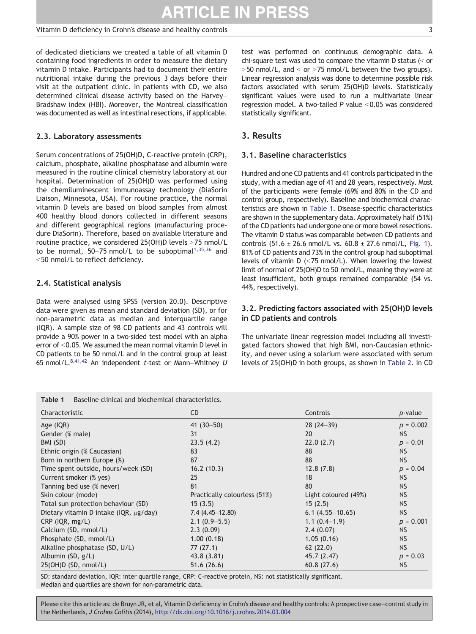#### Vitamin D deficiency in Crohn's disease and healthy controls 3

of dedicated dieticians we created a table of all vitamin D containing food ingredients in order to measure the dietary vitamin D intake. Participants had to document their entire nutritional intake during the previous 3 days before their visit at the outpatient clinic. In patients with CD, we also determined clinical disease activity based on the Harvey– Bradshaw index (HBI). Moreover, the Montreal classification was documented as well as intestinal resections, if applicable.

#### 2.3. Laboratory assessments

Serum concentrations of 25(OH)D, C-reactive protein (CRP), calcium, phosphate, alkaline phosphatase and albumin were measured in the routine clinical chemistry laboratory at our hospital. Determination of 25(OH)D was performed using the chemiluminescent immunoassay technology (DiaSorin Liaison, Minnesota, USA). For routine practice, the normal vitamin D levels are based on blood samples from almost 400 healthy blood donors collected in different seasons and different geographical regions (manufacturing procedure DiaSorin). Therefore, based on available literature and routine practice, we considered  $25(OH)D$  levels >75 nmol/L to be normal, 50-75 nmol/L to be suboptimal $1,35,36$  and <50 nmol/L to reflect deficiency.

## 2.4. Statistical analysis

Data were analysed using SPSS (version 20.0). Descriptive data were given as mean and standard deviation (SD), or for non-parametric data as median and interquartile range (IQR). A sample size of 98 CD patients and 43 controls will provide a 90% power in a two-sided test model with an alpha error of <0.05. We assumed the mean normal vitamin D level in CD patients to be 50 nmol/L and in the control group at least 65 nmol/L.<sup>8,41,42</sup> An independent t-test or Mann-Whitney U

| test was performed on continuous demographic data. A<br>chi-square test was used to compare the vitamin D status $(<$ or<br>$>$ 50 nmol/L, and < or $>$ 75 nmol/L between the two groups).<br>Linear regression analysis was done to determine possible risk |  |  |  |  |
|--------------------------------------------------------------------------------------------------------------------------------------------------------------------------------------------------------------------------------------------------------------|--|--|--|--|
| factors associated with serum 25(OH)D levels. Statistically<br>significant values were used to run a multivariate linear<br>regression model. A two-tailed $P$ value < 0.05 was considered                                                                   |  |  |  |  |
| statistically significant.                                                                                                                                                                                                                                   |  |  |  |  |

# 3. Results

#### 3.1. Baseline characteristics

Hundred and one CD patients and 41 controls participated in the study, with a median age of 41 and 28 years, respectively. Most of the participants were female (69% and 80% in the CD and control group, respectively). Baseline and biochemical characteristics are shown in Table 1. Disease-specific characteristics are shown in the supplementary data. Approximately half (51%) of the CD patients had undergone one or more bowel resections. The vitamin D status was comparable between CD patients and controls  $(51.6 \pm 26.6 \text{ nmol/L vs. } 60.8 \pm 27.6 \text{ nmol/L, Fig. 1}).$  $(51.6 \pm 26.6 \text{ nmol/L vs. } 60.8 \pm 27.6 \text{ nmol/L, Fig. 1}).$  $(51.6 \pm 26.6 \text{ nmol/L vs. } 60.8 \pm 27.6 \text{ nmol/L, Fig. 1}).$ 81% of CD patients and 73% in the control group had suboptimal levels of vitamin D  $\ll$  75 nmol/L). When lowering the lowest limit of normal of 25(OH)D to 50 nmol/L, meaning they were at least insufficient, both groups remained comparable (54 vs. 44%, respectively).

### 3.2. Predicting factors associated with 25(OH)D levels in CD patients and controls

The univariate linear regression model including all investigated factors showed that high BMI, non-Caucasian ethnicity, and never using a solarium were associated with serum levels of 25(OH)D in both groups, as shown in [Table 2.](#page-3-0) In CD

| Baseline clinical and biochemical characteristics.<br>Table 1 |                              |                      |                 |  |  |  |
|---------------------------------------------------------------|------------------------------|----------------------|-----------------|--|--|--|
| Characteristic                                                | C <sub>D</sub>               | Controls             | <i>p</i> -value |  |  |  |
| Age (IQR)                                                     | 41 $(30-50)$                 | $28(24-39)$          | $p = 0.002$     |  |  |  |
| Gender (% male)                                               | 31                           | 20                   | <b>NS</b>       |  |  |  |
| BMI (SD)                                                      | 23.5(4.2)                    | 22.0(2.7)            | $p = 0.01$      |  |  |  |
| Ethnic origin (% Caucasian)                                   | 83                           | 88                   | <b>NS</b>       |  |  |  |
| Born in northern Europe (%)                                   | 87                           | 88                   | <b>NS</b>       |  |  |  |
| Time spent outside, hours/week (SD)                           | 16.2(10.3)                   | 12.8(7.8)            | $p = 0.04$      |  |  |  |
| Current smoker (% yes)                                        | 25                           | 18                   | <b>NS</b>       |  |  |  |
| Tanning bed use (% never)                                     | 81                           | 80                   | <b>NS</b>       |  |  |  |
| Skin colour (mode)                                            | Practically colourless (51%) | Light coloured (49%) | <b>NS</b>       |  |  |  |
| Total sun protection behaviour (SD)                           | 15(3.5)                      | 15(2.5)              | <b>NS</b>       |  |  |  |
| Dietary vitamin D intake ( $QR$ , $\mu$ g/day)                | $7.4(4.45-12.80)$            | $6.1(4.55-10.65)$    | <b>NS</b>       |  |  |  |
| CRP (IQR, mg/L)                                               | $2.1(0.9 - 5.5)$             | $1.1(0.4-1.9)$       | $p = 0.001$     |  |  |  |
| Calcium (SD, mmol/L)                                          | 2.3(0.09)                    | 2.4(0.07)            | <b>NS</b>       |  |  |  |
| Phosphate (SD, mmol/L)                                        | 1.00(0.18)                   | 1.05(0.16)           | <b>NS</b>       |  |  |  |
| Alkaline phosphatase (SD, U/L)                                | 77(27.1)                     | 62(22.0)             | <b>NS</b>       |  |  |  |
| Albumin $(SD, g/L)$                                           | 43.8 (3.81)                  | 45.7 (2.47)          | $p = 0.03$      |  |  |  |
| 25(OH)D(SD, nmol/L)                                           | 51.6(26.6)                   | 60.8(27.6)           | <b>NS</b>       |  |  |  |

SD: standard deviation, IQR: inter quartile range, CRP: C-reactive protein, NS: not statistically significant. Median and quartiles are shown for non-parametric data.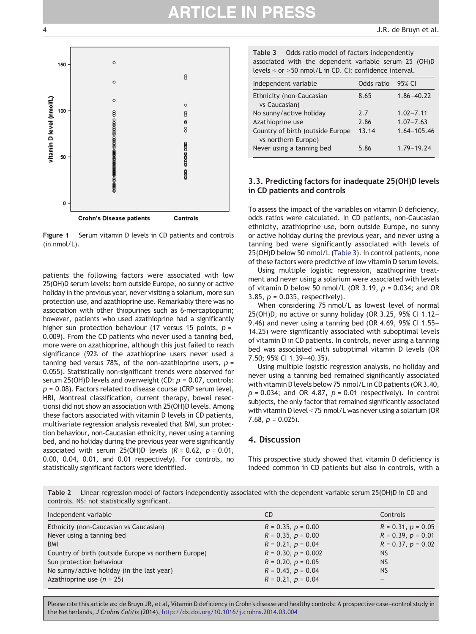<span id="page-3-0"></span>

Figure 1 Serum vitamin D levels in CD patients and controls (in nmol/L).

patients the following factors were associated with low 25(OH)D serum levels: born outside Europe, no sunny or active holiday in the previous year, never visiting a solarium, more sun protection use, and azathioprine use. Remarkably there was no association with other thiopurines such as 6-mercaptopurin; however, patients who used azathioprine had a significantly higher sun protection behaviour (17 versus 15 points,  $p =$ 0.009). From the CD patients who never used a tanning bed, more were on azathioprine, although this just failed to reach significance (92% of the azathioprine users never used a tanning bed versus 78%, of the non-azathioprine users,  $p =$ 0.055). Statistically non-significant trends were observed for serum 25(OH)D levels and overweight (CD:  $p = 0.07$ , controls:  $p = 0.08$ ). Factors related to disease course (CRP serum level, HBI, Montreal classification, current therapy, bowel resections) did not show an association with 25(OH)D levels. Among these factors associated with vitamin D levels in CD patients, multivariate regression analysis revealed that BMI, sun protection behaviour, non-Caucasian ethnicity, never using a tanning bed, and no holiday during the previous year were significantly associated with serum 25(OH)D levels  $(R = 0.62, p = 0.01,$ 0.00, 0.04, 0.01, and 0.01 respectively). For controls, no statistically significant factors were identified.

Table 3 Odds ratio model of factors independently associated with the dependent variable serum 25 (OH)D levels  $<$  or  $>$  50 nmol/L in CD. CI: confidence interval.

| Independent variable                                    | Odds ratio | 95% CI          |
|---------------------------------------------------------|------------|-----------------|
| Ethnicity (non-Caucasian<br>vs Caucasian)               | 8.65       | $1.86 - 40.22$  |
| No sunny/active holiday                                 | 7.7        | $1.02 - 7.11$   |
| Azathioprine use                                        | 2.86       | $1.07 - 7.63$   |
| Country of birth (outside Europe<br>vs northern Europe) | 13.14      | $1.64 - 105.46$ |
| Never using a tanning bed                               | 5.86       | $1.79 - 19.24$  |

#### 3.3. Predicting factors for inadequate 25(OH)D levels in CD patients and controls

To assess the impact of the variables on vitamin D deficiency, odds ratios were calculated. In CD patients, non-Caucasian ethnicity, azathioprine use, born outside Europe, no sunny or active holiday during the previous year, and never using a tanning bed were significantly associated with levels of 25(OH)D below 50 nmol/L (Table 3). In control patients, none of these factors were predictive of low vitamin D serum levels.

Using multiple logistic regression, azathioprine treatment and never using a solarium were associated with levels of vitamin D below 50 nmol/L (OR 3.19,  $p = 0.034$ ; and OR 3.85,  $p = 0.035$ , respectively).

When considering 75 nmol/L as lowest level of normal 25(OH)D, no active or sunny holiday (OR 3.25, 95% CI 1.12– 9.46) and never using a tanning bed (OR 4.69, 95% CI 1.55– 14.25) were significantly associated with suboptimal levels of vitamin D in CD patients. In controls, never using a tanning bed was associated with suboptimal vitamin D levels (OR 7.50; 95% CI 1.39–40.35).

Using multiple logistic regression analysis, no holiday and never using a tanning bed remained significantly associated with vitamin D levels below 75 nmol/L in CD patients (OR 3.40,  $p = 0.034$ ; and OR 4.87,  $p = 0.01$  respectively). In control subjects, the only factor that remained significantly associated with vitamin D level  $<$  75 nmol/L was never using a solarium (OR 7.68,  $p = 0.025$ ).

#### 4. Discussion

This prospective study showed that vitamin D deficiency is indeed common in CD patients but also in controls, with a

Table 2 Linear regression model of factors independently associated with the dependent variable serum 25(OH)D in CD and controls. NS: not statistically significant.

| Independent variable                                 | C <sub>D</sub>          | Controls                |
|------------------------------------------------------|-------------------------|-------------------------|
| Ethnicity (non-Caucasian vs Caucasian)               | $R = 0.35, p = 0.00$    | $R = 0.31$ , $p = 0.05$ |
| Never using a tanning bed                            | $R = 0.35, p = 0.00$    | $R = 0.39, p = 0.01$    |
| <b>BMI</b>                                           | $R = 0.21, p = 0.04$    | $R = 0.37, p = 0.02$    |
| Country of birth (outside Europe vs northern Europe) | $R = 0.30, p = 0.002$   | <b>NS</b>               |
| Sun protection behaviour                             | $R = 0.20, p = 0.05$    | <b>NS</b>               |
| No sunny/active holiday (in the last year)           | $R = 0.45$ , $p = 0.04$ | <b>NS</b>               |
| Azathioprine use $(n = 25)$                          | $R = 0.21$ , $p = 0.04$ |                         |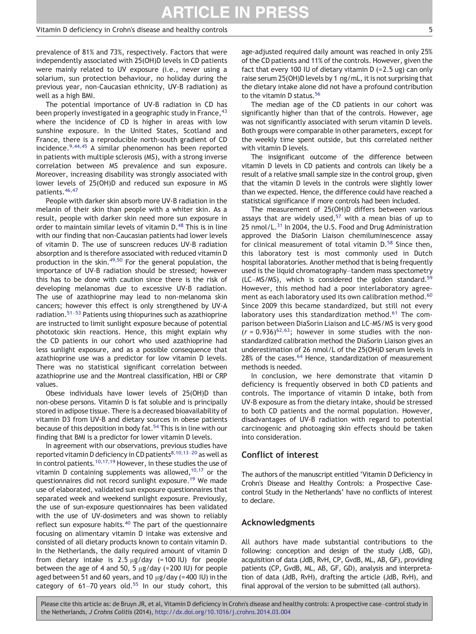#### Vitamin D deficiency in Crohn's disease and healthy controls 5

prevalence of 81% and 73%, respectively. Factors that were independently associated with 25(OH)D levels in CD patients were mainly related to UV exposure (i.e., never using a solarium, sun protection behaviour, no holiday during the previous year, non-Caucasian ethnicity, UV-B radiation) as well as a high BMI.

The potential importance of UV-B radiation in CD has been properly investigated in a geographic study in France, <sup>[43](#page-6-0)</sup> where the incidence of CD is higher in areas with low sunshine exposure. In the United States, Scotland and France, there is a reproducible north-south gradient of CD incidence.<sup>[9,44,45](#page-5-0)</sup> A similar phenomenon has been reported in patients with multiple sclerosis (MS), with a strong inverse correlation between MS prevalence and sun exposure. Moreover, increasing disability was strongly associated with lower levels of 25(OH)D and reduced sun exposure in MS patients. [46,47](#page-6-0)

People with darker skin absorb more UV-B radiation in the melanin of their skin than people with a whiter skin. As a result, people with darker skin need more sun exposure in order to maintain similar levels of vitamin D.<sup>[48](#page-6-0)</sup> This is in line with our finding that non-Caucasian patients had lower levels of vitamin D. The use of sunscreen reduces UV-B radiation absorption and is therefore associated with reduced vitamin D production in the skin.<sup>49,50</sup> For the general population, the importance of UV-B radiation should be stressed; however this has to be done with caution since there is the risk of developing melanomas due to excessive UV-B radiation. The use of azathioprine may lead to non-melanoma skin cancers; however this effect is only strengthened by UV-A radiation.[51](#page-6-0)–<sup>53</sup> Patients using thiopurines such as azathioprine are instructed to limit sunlight exposure because of potential phototoxic skin reactions. Hence, this might explain why the CD patients in our cohort who used azathioprine had less sunlight exposure, and as a possible consequence that azathioprine use was a predictor for low vitamin D levels. There was no statistical significant correlation between azathioprine use and the Montreal classification, HBI or CRP values.

Obese individuals have lower levels of 25(OH)D than non-obese persons. Vitamin D is fat soluble and is principally stored in adipose tissue. There is a decreased bioavailability of vitamin D3 from UV-B and dietary sources in obese patients because of this deposition in body fat.<sup>[54](#page-6-0)</sup> This is in line with our finding that BMI is a predictor for lower vitamin D levels.

In agreement with our observations, previous studies have reported vitamin D deficiency in CD patients<sup>8,10,13–20</sup> as well as in control patients.<sup>10,17,19</sup> However, in these studies the use of vitamin D containing supplements was allowed,  $10,17$  or the questionnaires did not record sunlight exposure.<sup>19</sup> We made use of elaborated, validated sun exposure questionnaires that separated week and weekend sunlight exposure. Previously, the use of sun-exposure questionnaires has been validated with the use of UV-dosimeters and was shown to reliably reflect sun exposure habits.<sup>40</sup> The part of the questionnaire focusing on alimentary vitamin D intake was extensive and consisted of all dietary products known to contain vitamin D. In the Netherlands, the daily required amount of vitamin D from dietary intake is  $2.5 \mu g/day$  (=100 IU) for people between the age of 4 and 50, 5  $\mu$ g/day (=200 IU) for people aged between 51 and 60 years, and 10 μg/day (=400 IU) in the category of  $61-70$  years old.<sup>55</sup> In our study cohort, this age-adjusted required daily amount was reached in only 25% of the CD patients and 11% of the controls. However, given the fact that every 100 IU of dietary vitamin  $D$  (=2.5 ug) can only raise serum 25(OH)D levels by 1 ng/mL, it is not surprising that the dietary intake alone did not have a profound contribution to the vitamin D status.<sup>56</sup>

The median age of the CD patients in our cohort was significantly higher than that of the controls. However, age was not significantly associated with serum vitamin D levels. Both groups were comparable in other parameters, except for the weekly time spent outside, but this correlated neither with vitamin D levels.

The insignificant outcome of the difference between vitamin D levels in CD patients and controls can likely be a result of a relative small sample size in the control group, given that the vitamin D levels in the controls were slightly lower than we expected. Hence, the difference could have reached a statistical significance if more controls had been included.

The measurement of 25(OH)D differs between various assays that are widely used,  $57$  with a mean bias of up to 25 nmol/L.<sup>[31](#page-5-0)</sup> In 2004, the U.S. Food and Drug Administration approved the DiaSorin Liaison chemiluminescence assay for clinical measurement of total vitamin  $D<sup>58</sup>$  $D<sup>58</sup>$  $D<sup>58</sup>$  Since then, this laboratory test is most commonly used in Dutch hospital laboratories. Another method that is being frequently used is the liquid chromatography–tandem mass spectometry (LC–MS/MS), which is considered the golden standard.<sup>59</sup> However, this method had a poor interlaboratory agree-ment as each laboratory used its own calibration method.<sup>[60](#page-6-0)</sup> Since 2009 this became standardized, but still not every laboratory uses this standardization method.<sup>[61](#page-6-0)</sup> The comparison between DiaSorin Liaison and LC-MS/MS is very good  $(r = 0.936)^{62,63}$  $(r = 0.936)^{62,63}$  $(r = 0.936)^{62,63}$ ; however in some studies with the nonstandardized calibration method the DiaSorin Liaison gives an underestimation of 26 nmol/L of the 25(OH)D serum levels in 28% of the cases.<sup>[64](#page-6-0)</sup> Hence, standardization of measurement methods is needed.

In conclusion, we here demonstrate that vitamin D deficiency is frequently observed in both CD patients and controls. The importance of vitamin D intake, both from UV-B exposure as from the dietary intake, should be stressed to both CD patients and the normal population. However, disadvantages of UV-B radiation with regard to potential carcinogenic and photoaging skin effects should be taken into consideration.

## Conflict of interest

The authors of the manuscript entitled 'Vitamin D Deficiency in Crohn's Disease and Healthy Controls: a Prospective Casecontrol Study in the Netherlands' have no conflicts of interest to declare.

#### Acknowledgments

All authors have made substantial contributions to the following: conception and design of the study (JdB, GD), acquisition of data (JdB, RvH, CP, GvdB, ML, AB, GF), providing patients (CP, GvdB, ML, AB, GF, GD), analysis and interpretation of data (JdB, RvH), drafting the article (JdB, RvH), and final approval of the version to be submitted (all authors).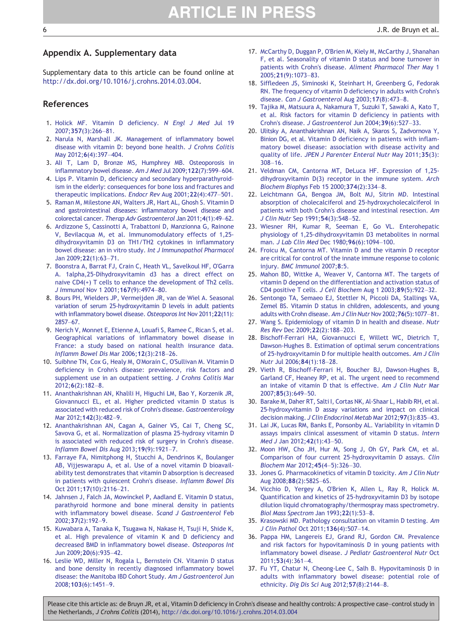## <span id="page-5-0"></span>Appendix A. Supplementary data

Supplementary data to this article can be found online at <http://dx.doi.org/10.1016/j.crohns.2014.03.004>.

#### References

- 1. [Holick MF. Vitamin D deficiency.](http://refhub.elsevier.com//rf0320) N Engl J Med Jul 19 2007;357[\(3\):266](http://refhub.elsevier.com//rf0320)–81.
- 2. [Narula N, Marshall JK. Management of inflammatory bowel](http://refhub.elsevier.com//rf0010) [disease with vitamin D: beyond bone health.](http://refhub.elsevier.com//rf0010) J Crohns Colitis [May 2012;](http://refhub.elsevier.com//rf0010)6(4):397–404.
- 3. [Ali T, Lam D, Bronze MS, Humphrey MB. Osteoporosis in](http://refhub.elsevier.com//rf0015) [inflammatory bowel disease.](http://refhub.elsevier.com//rf0015) Am J Med Jul 2009;122(7):599–604.
- 4. [Lips P. Vitamin D, deficiency and secondary hyperparathyroid](http://refhub.elsevier.com//rf0020)[ism in the elderly: consequences for bone loss and fractures and](http://refhub.elsevier.com//rf0020) [therapeutic implications.](http://refhub.elsevier.com//rf0020) Endocr Rev Aug 2001;22(4):477–501.
- 5. [Raman M, Milestone AN, Walters JR, Hart AL, Ghosh S. Vitamin D](http://refhub.elsevier.com//rf0025) and gastrointestinal diseases: [inflammatory bowel disease and](http://refhub.elsevier.com//rf0025) colorectal cancer. [Therap Adv Gastroenterol](http://refhub.elsevier.com//rf0025) Jan 2011;4(1):49–62.
- 6. [Ardizzone S, Cassinotti A, Trabattoni D, Manzionna G, Rainone](http://refhub.elsevier.com//rf0030) [V, Bevilacqua M, et al. Immunomodulatory effects of 1,25](http://refhub.elsevier.com//rf0030) [dihydroxyvitamin D3 on TH1/TH2 cytokines in inflammatory](http://refhub.elsevier.com//rf0030) [bowel disease: an in vitro study.](http://refhub.elsevier.com//rf0030) Int J Immunopathol Pharmacol [Jan 2009;](http://refhub.elsevier.com//rf0030)22(1):63–71.
- 7. [Boonstra A, Barrat FJ, Crain C, Heath VL, Savelkoul HF, O'Garra](http://refhub.elsevier.com//rf0035) [A. 1alpha,25-Dihydroxyvitamin d3 has a direct effect on](http://refhub.elsevier.com//rf0035) [naive CD4\(+\) T cells to enhance the development of Th2 cells.](http://refhub.elsevier.com//rf0035) J Immunol [Nov 1 2001;](http://refhub.elsevier.com//rf0035)167(9):4974–80.
- 8. [Bours PH, Wielders JP, Vermeijden JR, van de Wiel A. Seasonal](http://refhub.elsevier.com//rf0040) [variation of serum 25-hydroxyvitamin D levels in adult patients](http://refhub.elsevier.com//rf0040) [with inflammatory bowel disease.](http://refhub.elsevier.com//rf0040) Osteoporos Int Nov 2011;22(11): [2857](http://refhub.elsevier.com//rf0040)–67.
- 9. [Nerich V, Monnet E, Etienne A, Louafi S, Ramee C, Rican S, et al.](http://refhub.elsevier.com//rf0045) [Geographical variations of inflammatory bowel disease in](http://refhub.elsevier.com//rf0045) [France: a study based on national health insurance data.](http://refhub.elsevier.com//rf0045) [Inflamm Bowel Dis](http://refhub.elsevier.com//rf0045) Mar 2006;12(3):218–26.
- 10. [Suibhne TN, Cox G, Healy M, O'Morain C, O'Sullivan M. Vitamin D](http://refhub.elsevier.com//rf0050) [deficiency in Crohn's disease: prevalence, risk factors and](http://refhub.elsevier.com//rf0050) [supplement use in an outpatient setting.](http://refhub.elsevier.com//rf0050) J Crohns Colitis Mar 2012;6[\(2\):182](http://refhub.elsevier.com//rf0050)–8.
- 11. [Ananthakrishnan AN, Khalili H, Higuchi LM, Bao Y, Korzenik JR,](http://refhub.elsevier.com//rf0055) [Giovannucci EL, et al. Higher predicted vitamin D status is](http://refhub.elsevier.com//rf0055) [associated with reduced risk of Crohn's disease.](http://refhub.elsevier.com//rf0055) Gastroenterology [Mar 2012;](http://refhub.elsevier.com//rf0055)142(3):482–9.
- 12. [Ananthakrishnan AN, Cagan A, Gainer VS, Cai T, Cheng SC,](http://refhub.elsevier.com//rf0060) [Savova G, et al. Normalization of plasma 25-hydroxy vitamin D](http://refhub.elsevier.com//rf0060) [is associated with reduced risk of surgery in Crohn's disease.](http://refhub.elsevier.com//rf0060) [Inflamm Bowel Dis](http://refhub.elsevier.com//rf0060) Aug 2013;19(9):1921–7.
- 13. [Farraye FA, Nimitphong H, Stucchi A, Dendrinos K, Boulanger](http://refhub.elsevier.com//rf0065) [AB, Vijjeswarapu A, et al. Use of a novel vitamin D bioavail](http://refhub.elsevier.com//rf0065)[ability test demonstrates that vitamin D absorption is decreased](http://refhub.elsevier.com//rf0065) [in patients with quiescent Crohn's disease.](http://refhub.elsevier.com//rf0065) Inflamm Bowel Dis [Oct 2011;](http://refhub.elsevier.com//rf0065)17(10):2116–21.
- 14. [Jahnsen J, Falch JA, Mowinckel P, Aadland E. Vitamin D status,](http://refhub.elsevier.com//rf0070) [parathyroid hormone and bone mineral density in patients](http://refhub.elsevier.com//rf0070) [with inflammatory bowel disease.](http://refhub.elsevier.com//rf0070) Scand J Gastroenterol Feb 2002;37[\(2\):192](http://refhub.elsevier.com//rf0070)–9.
- 15. [Kuwabara A, Tanaka K, Tsugawa N, Nakase H, Tsuji H, Shide K,](http://refhub.elsevier.com//rf0075) [et al. High prevalence of vitamin K and D deficiency and](http://refhub.elsevier.com//rf0075) [decreased BMD in inflammatory bowel disease.](http://refhub.elsevier.com//rf0075) Osteoporos Int [Jun 2009;](http://refhub.elsevier.com//rf0075)20(6):935–42.
- 16. [Leslie WD, Miller N, Rogala L, Bernstein CN. Vitamin D status](http://refhub.elsevier.com//rf0080) [and bone density in recently diagnosed inflammatory bowel](http://refhub.elsevier.com//rf0080) [disease: the Manitoba IBD Cohort Study.](http://refhub.elsevier.com//rf0080) Am J Gastroenterol Jun 2008;103[\(6\):1451](http://refhub.elsevier.com//rf0080)–9.
- 17. [McCarthy D, Duggan P, O'Brien M, Kiely M, McCarthy J, Shanahan](http://refhub.elsevier.com//rf0085) [F, et al. Seasonality of vitamin D status and bone turnover in](http://refhub.elsevier.com//rf0085) [patients with Crohn's disease.](http://refhub.elsevier.com//rf0085) Aliment Pharmacol Ther May 1 2005;21[\(9\):1073](http://refhub.elsevier.com//rf0085)–83.
- 18. [Siffledeen JS, Siminoski K, Steinhart H, Greenberg G, Fedorak](http://refhub.elsevier.com//rf0090) [RN. The frequency of vitamin D deficiency in adults with Crohn's](http://refhub.elsevier.com//rf0090) disease. [Can J Gastroenterol](http://refhub.elsevier.com//rf0090) Aug 2003;17(8):473–8.
- 19. [Tajika M, Matsuura A, Nakamura T, Suzuki T, Sawaki A, Kato T,](http://refhub.elsevier.com//rf0095) [et al. Risk factors for vitamin D deficiency in patients with](http://refhub.elsevier.com//rf0095) [Crohn's disease.](http://refhub.elsevier.com//rf0095) J Gastroenterol Jun 2004;39(6):527–33.
- 20. [Ulitsky A, Ananthakrishnan AN, Naik A, Skaros S, Zadvornova Y,](http://refhub.elsevier.com//rf0100) [Binion DG, et al. Vitamin D deficiency in patients with inflam](http://refhub.elsevier.com//rf0100)[matory bowel disease: association with disease activity and](http://refhub.elsevier.com//rf0100) quality of life. [JPEN J Parenter Enteral Nutr](http://refhub.elsevier.com//rf0100) May 2011;35(3): [308](http://refhub.elsevier.com//rf0100)–16.
- 21. [Veldman CM, Cantorna MT, DeLuca HF. Expression of 1,25](http://refhub.elsevier.com//rf0105) [dihydroxyvitamin D\(3\) receptor in the immune system.](http://refhub.elsevier.com//rf0105) Arch [Biochem Biophys](http://refhub.elsevier.com//rf0105) Feb 15 2000;374(2):334–8.
- 22. [Leichtmann GA, Bengoa JM, Bolt MJ, Sitrin MD. Intestinal](http://refhub.elsevier.com//rf0110) [absorption of cholecalciferol and 25-hydroxycholecalciferol in](http://refhub.elsevier.com//rf0110) [patients with both Crohn's disease and intestinal resection.](http://refhub.elsevier.com//rf0110) Am [J Clin Nutr](http://refhub.elsevier.com//rf0110) Sep 1991;54(3):548–52.
- 23. [Wiesner RH, Kumar R, Seeman E, Go VL. Enterohepatic](http://refhub.elsevier.com//rf0115) [physiology of 1,25-dihydroxyvitamin D3 metabolites in normal](http://refhub.elsevier.com//rf0115) man. [J Lab Clin Med](http://refhub.elsevier.com//rf0115) Dec 1980;96(6):1094–100.
- 24. [Froicu M, Cantorna MT. Vitamin D and the vitamin D receptor](http://refhub.elsevier.com//rf0120) [are critical for control of the innate immune response to colonic](http://refhub.elsevier.com//rf0120) injury. [BMC Immunol](http://refhub.elsevier.com//rf0120) 2007;8:5.
- 25. [Mahon BD, Wittke A, Weaver V, Cantorna MT. The targets of](http://refhub.elsevier.com//rf0125) [vitamin D depend on the differentiation and activation status of](http://refhub.elsevier.com//rf0125) [CD4 positive T cells.](http://refhub.elsevier.com//rf0125) J Cell Biochem Aug 1 2003;89(5):922–32.
- 26. [Sentongo TA, Semaeo EJ, Stettler N, Piccoli DA, Stallings VA,](http://refhub.elsevier.com//rf0130) [Zemel BS. Vitamin D status in children, adolescents, and young](http://refhub.elsevier.com//rf0130) [adults with Crohn disease.](http://refhub.elsevier.com//rf0130) Am J Clin Nutr Nov 2002;76(5):1077–81.
- 27. [Wang S. Epidemiology of vitamin D in health and disease.](http://refhub.elsevier.com//rf0135) Nutr Res Rev [Dec 2009;](http://refhub.elsevier.com//rf0135)22(2):188–203.
- 28. [Bischoff-Ferrari HA, Giovannucci E, Willett WC, Dietrich T,](http://refhub.elsevier.com//rf0140) [Dawson-Hughes B. Estimation of optimal serum concentrations](http://refhub.elsevier.com//rf0140) [of 25-hydroxyvitamin D for multiple health outcomes.](http://refhub.elsevier.com//rf0140) Am J Clin Nutr [Jul 2006;](http://refhub.elsevier.com//rf0140)84(1):18–28.
- 29. [Vieth R, Bischoff-Ferrari H, Boucher BJ, Dawson-Hughes B,](http://refhub.elsevier.com//rf0145) [Garland CF, Heaney RP, et al. The urgent need to recommend](http://refhub.elsevier.com//rf0145) [an intake of vitamin D that is effective.](http://refhub.elsevier.com//rf0145) Am J Clin Nutr Mar 2007;85[\(3\):649](http://refhub.elsevier.com//rf0145)–50.
- 30. [Barake M, Daher RT, Salti I, Cortas NK, Al-Shaar L, Habib RH, et al.](http://refhub.elsevier.com//rf0150) [25-hydroxyvitamin D assay variations and impact on clinical](http://refhub.elsevier.com//rf0150) decision making. [J Clin Endocrinol Metab](http://refhub.elsevier.com//rf0150) Mar 2012;97(3):835–43.
- 31. [Lai JK, Lucas RM, Banks E, Ponsonby AL. Variability in vitamin D](http://refhub.elsevier.com//rf0155) [assays impairs clinical assessment of vitamin D status.](http://refhub.elsevier.com//rf0155) Intern Med J [Jan 2012;](http://refhub.elsevier.com//rf0155)42(1):43–50.
- 32. [Moon HW, Cho JH, Hur M, Song J, Oh GY, Park CM, et al.](http://refhub.elsevier.com//rf0160) [Comparison of four current 25-hydroxyvitamin D assays.](http://refhub.elsevier.com//rf0160) Clin Biochem [Mar 2012;](http://refhub.elsevier.com//rf0160)45(4–5):326–30.
- 33. [Jones G. Pharmacokinetics of vitamin D toxicity.](http://refhub.elsevier.com//rf0165) Am J Clin Nutr [Aug 2008;](http://refhub.elsevier.com//rf0165)88(2):582S–6S.
- 34. [Vicchio D, Yergey A, O'Brien K, Allen L, Ray R, Holick M.](http://refhub.elsevier.com//rf0170) [Quantification and kinetics of 25-hydroxyvitamin D3 by isotope](http://refhub.elsevier.com//rf0170) [dilution liquid chromatography/thermospray mass spectrometry.](http://refhub.elsevier.com//rf0170) [Biol Mass Spectrom](http://refhub.elsevier.com//rf0170) Jan 1993;22(1):53–8.
- 35. [Krasowski MD. Pathology consultation on vitamin D testing.](http://refhub.elsevier.com//rf0175) Am [J Clin Pathol](http://refhub.elsevier.com//rf0175) Oct 2011;136(4):507–14.
- 36. [Pappa HM, Langereis EJ, Grand RJ, Gordon CM. Prevalence](http://refhub.elsevier.com//rf0180) [and risk factors for hypovitaminosis D in young patients with](http://refhub.elsevier.com//rf0180) inflammatory bowel disease. [J Pediatr Gastroenterol Nutr](http://refhub.elsevier.com//rf0180) Oct 2011;53[\(4\):361](http://refhub.elsevier.com//rf0180)–4.
- 37. [Fu YT, Chatur N, Cheong-Lee C, Salh B. Hypovitaminosis D in](http://refhub.elsevier.com//rf0185) [adults with inflammatory bowel disease: potential role of](http://refhub.elsevier.com//rf0185) ethnicity. [Dig Dis Sci](http://refhub.elsevier.com//rf0185) Aug 2012;57(8):2144–8.